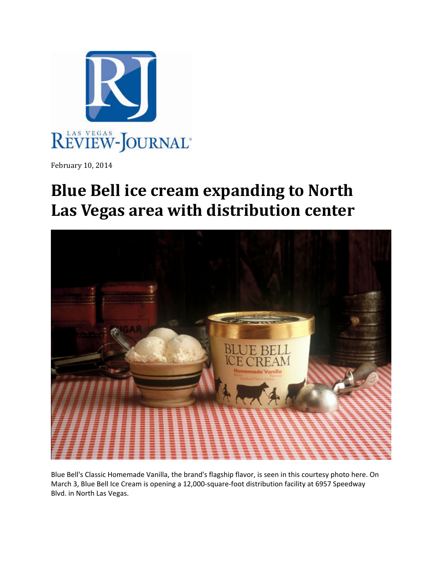

February 10, 2014

## **Blue Bell ice cream expanding to North Las Vegas area with distribution center**



Blue Bell's Classic Homemade Vanilla, the brand's flagship flavor, is seen in this courtesy photo here. On March 3, Blue Bell Ice Cream is opening a 12,000‐square‐foot distribution facility at 6957 Speedway Blvd. in North Las Vegas.